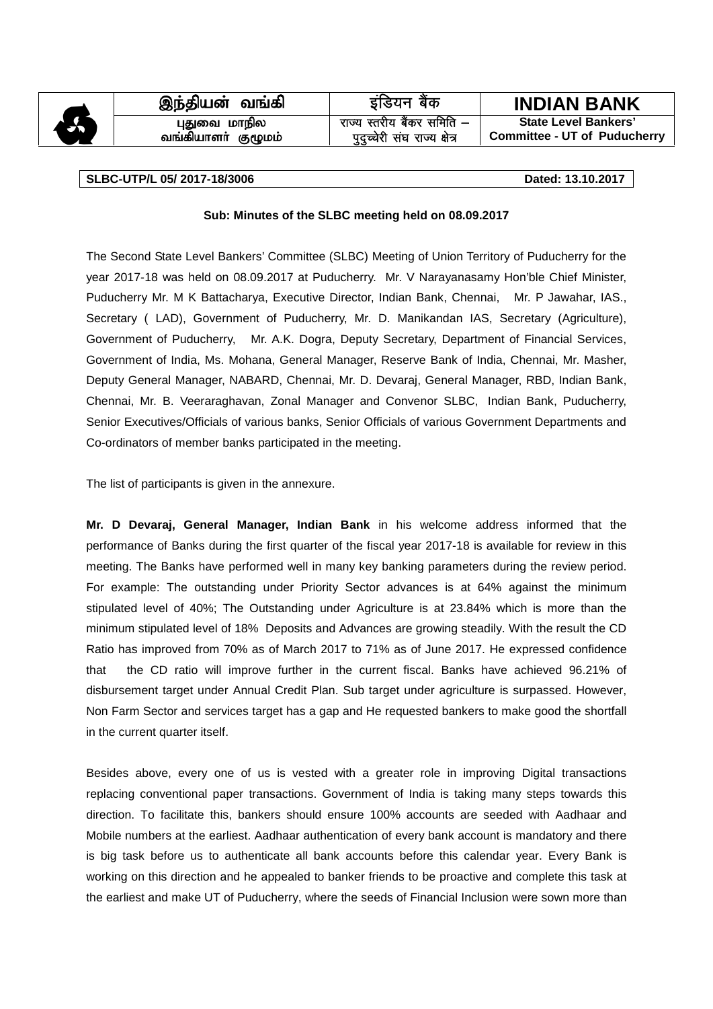|   | இந்தியன் வங்கி                     | इंडियन बैंक                                                |                                                                    |
|---|------------------------------------|------------------------------------------------------------|--------------------------------------------------------------------|
|   |                                    |                                                            |                                                                    |
|   |                                    |                                                            | <b>INDIAN BANK</b>                                                 |
|   |                                    |                                                            |                                                                    |
| 6 | புதுவை மாநில<br>வங்கியாளா் குழுமம் | राज्य स्तरीय बैंकर समिति -<br>पुदुच्चेरी संघ राज्य क्षेत्र | <b>State Level Bankers'</b><br><b>Committee - UT of Puducherry</b> |

### **SLBC-UTP/L 05/ 2017-18/3006 Dated: 13.10.2017**

## **Sub: Minutes of the SLBC meeting held on 08.09.2017**

The Second State Level Bankers' Committee (SLBC) Meeting of Union Territory of Puducherry for the year 2017-18 was held on 08.09.2017 at Puducherry. Mr. V Narayanasamy Hon'ble Chief Minister, Puducherry Mr. M K Battacharya, Executive Director, Indian Bank, Chennai, Mr. P Jawahar, IAS., Secretary ( LAD), Government of Puducherry, Mr. D. Manikandan IAS, Secretary (Agriculture), Government of Puducherry, Mr. A.K. Dogra, Deputy Secretary, Department of Financial Services, Government of India, Ms. Mohana, General Manager, Reserve Bank of India, Chennai, Mr. Masher, Deputy General Manager, NABARD, Chennai, Mr. D. Devaraj, General Manager, RBD, Indian Bank, Chennai, Mr. B. Veeraraghavan, Zonal Manager and Convenor SLBC, Indian Bank, Puducherry, Senior Executives/Officials of various banks, Senior Officials of various Government Departments and Co-ordinators of member banks participated in the meeting.

The list of participants is given in the annexure.

**Mr. D Devaraj, General Manager, Indian Bank** in his welcome address informed that the performance of Banks during the first quarter of the fiscal year 2017-18 is available for review in this meeting. The Banks have performed well in many key banking parameters during the review period. For example: The outstanding under Priority Sector advances is at 64% against the minimum stipulated level of 40%; The Outstanding under Agriculture is at 23.84% which is more than the minimum stipulated level of 18% Deposits and Advances are growing steadily. With the result the CD Ratio has improved from 70% as of March 2017 to 71% as of June 2017. He expressed confidence that the CD ratio will improve further in the current fiscal. Banks have achieved 96.21% of disbursement target under Annual Credit Plan. Sub target under agriculture is surpassed. However, Non Farm Sector and services target has a gap and He requested bankers to make good the shortfall in the current quarter itself.

Besides above, every one of us is vested with a greater role in improving Digital transactions replacing conventional paper transactions. Government of India is taking many steps towards this direction. To facilitate this, bankers should ensure 100% accounts are seeded with Aadhaar and Mobile numbers at the earliest. Aadhaar authentication of every bank account is mandatory and there is big task before us to authenticate all bank accounts before this calendar year. Every Bank is working on this direction and he appealed to banker friends to be proactive and complete this task at the earliest and make UT of Puducherry, where the seeds of Financial Inclusion were sown more than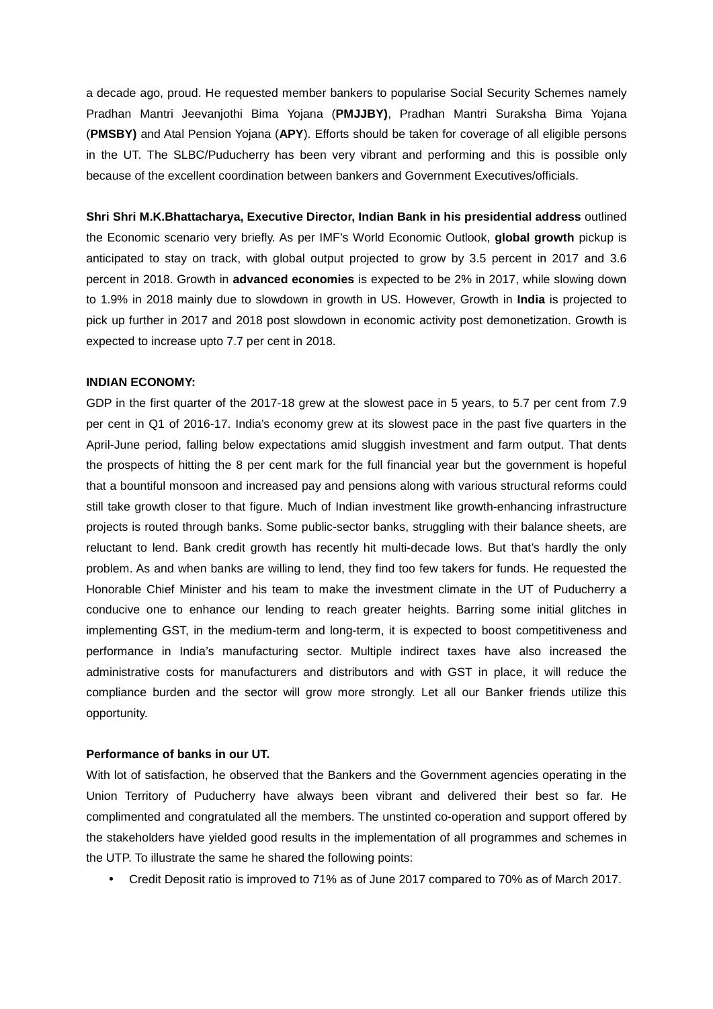a decade ago, proud. He requested member bankers to popularise Social Security Schemes namely Pradhan Mantri Jeevanjothi Bima Yojana (**PMJJBY)**, Pradhan Mantri Suraksha Bima Yojana (**PMSBY)** and Atal Pension Yojana (**APY**). Efforts should be taken for coverage of all eligible persons in the UT. The SLBC/Puducherry has been very vibrant and performing and this is possible only because of the excellent coordination between bankers and Government Executives/officials.

**Shri Shri M.K.Bhattacharya, Executive Director, Indian Bank in his presidential address** outlined the Economic scenario very briefly. As per IMF's World Economic Outlook, **global growth** pickup is anticipated to stay on track, with global output projected to grow by 3.5 percent in 2017 and 3.6 percent in 2018. Growth in **advanced economies** is expected to be 2% in 2017, while slowing down to 1.9% in 2018 mainly due to slowdown in growth in US. However, Growth in **India** is projected to pick up further in 2017 and 2018 post slowdown in economic activity post demonetization. Growth is expected to increase upto 7.7 per cent in 2018.

### **INDIAN ECONOMY:**

GDP in the first quarter of the 2017-18 grew at the slowest pace in 5 years, to 5.7 per cent from 7.9 per cent in Q1 of 2016-17. India's economy grew at its slowest pace in the past five quarters in the April-June period, falling below expectations amid sluggish investment and farm output. That dents the prospects of hitting the 8 per cent mark for the full financial year but the government is hopeful that a bountiful monsoon and increased pay and pensions along with various structural reforms could still take growth closer to that figure. Much of Indian investment like growth-enhancing infrastructure projects is routed through banks. Some public-sector banks, struggling with their balance sheets, are reluctant to lend. Bank credit growth has recently hit multi-decade lows. But that's hardly the only problem. As and when banks are willing to lend, they find too few takers for funds. He requested the Honorable Chief Minister and his team to make the investment climate in the UT of Puducherry a conducive one to enhance our lending to reach greater heights. Barring some initial glitches in implementing GST, in the medium-term and long-term, it is expected to boost competitiveness and performance in India's manufacturing sector. Multiple indirect taxes have also increased the administrative costs for manufacturers and distributors and with GST in place, it will reduce the compliance burden and the sector will grow more strongly. Let all our Banker friends utilize this opportunity.

## **Performance of banks in our UT.**

With lot of satisfaction, he observed that the Bankers and the Government agencies operating in the Union Territory of Puducherry have always been vibrant and delivered their best so far. He complimented and congratulated all the members. The unstinted co-operation and support offered by the stakeholders have yielded good results in the implementation of all programmes and schemes in the UTP. To illustrate the same he shared the following points:

Credit Deposit ratio is improved to 71% as of June 2017 compared to 70% as of March 2017.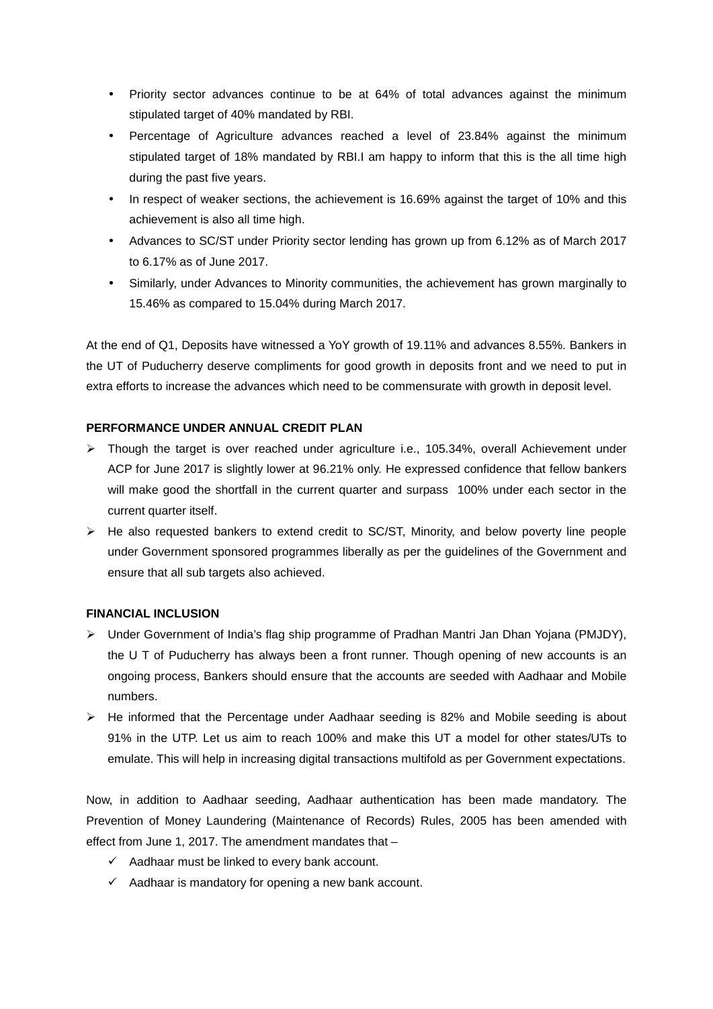- Priority sector advances continue to be at 64% of total advances against the minimum stipulated target of 40% mandated by RBI.
- Percentage of Agriculture advances reached a level of 23.84% against the minimum stipulated target of 18% mandated by RBI.I am happy to inform that this is the all time high during the past five years.
- In respect of weaker sections, the achievement is 16.69% against the target of 10% and this achievement is also all time high.
- Advances to SC/ST under Priority sector lending has grown up from 6.12% as of March 2017 to 6.17% as of June 2017.
- Similarly, under Advances to Minority communities, the achievement has grown marginally to 15.46% as compared to 15.04% during March 2017.

At the end of Q1, Deposits have witnessed a YoY growth of 19.11% and advances 8.55%. Bankers in the UT of Puducherry deserve compliments for good growth in deposits front and we need to put in extra efforts to increase the advances which need to be commensurate with growth in deposit level.

## **PERFORMANCE UNDER ANNUAL CREDIT PLAN**

- $\triangleright$  Though the target is over reached under agriculture i.e., 105.34%, overall Achievement under ACP for June 2017 is slightly lower at 96.21% only. He expressed confidence that fellow bankers will make good the shortfall in the current quarter and surpass 100% under each sector in the current quarter itself.
- $\triangleright$  He also requested bankers to extend credit to SC/ST, Minority, and below poverty line people under Government sponsored programmes liberally as per the guidelines of the Government and ensure that all sub targets also achieved.

## **FINANCIAL INCLUSION**

- Under Government of India's flag ship programme of Pradhan Mantri Jan Dhan Yojana (PMJDY), the U T of Puducherry has always been a front runner. Though opening of new accounts is an ongoing process, Bankers should ensure that the accounts are seeded with Aadhaar and Mobile numbers.
- $\triangleright$  He informed that the Percentage under Aadhaar seeding is 82% and Mobile seeding is about 91% in the UTP. Let us aim to reach 100% and make this UT a model for other states/UTs to emulate. This will help in increasing digital transactions multifold as per Government expectations.

Now, in addition to Aadhaar seeding, Aadhaar authentication has been made mandatory. The Prevention of Money Laundering (Maintenance of Records) Rules, 2005 has been amended with effect from June 1, 2017. The amendment mandates that –

- $\checkmark$  Aadhaar must be linked to every bank account.
- $\checkmark$  Aadhaar is mandatory for opening a new bank account.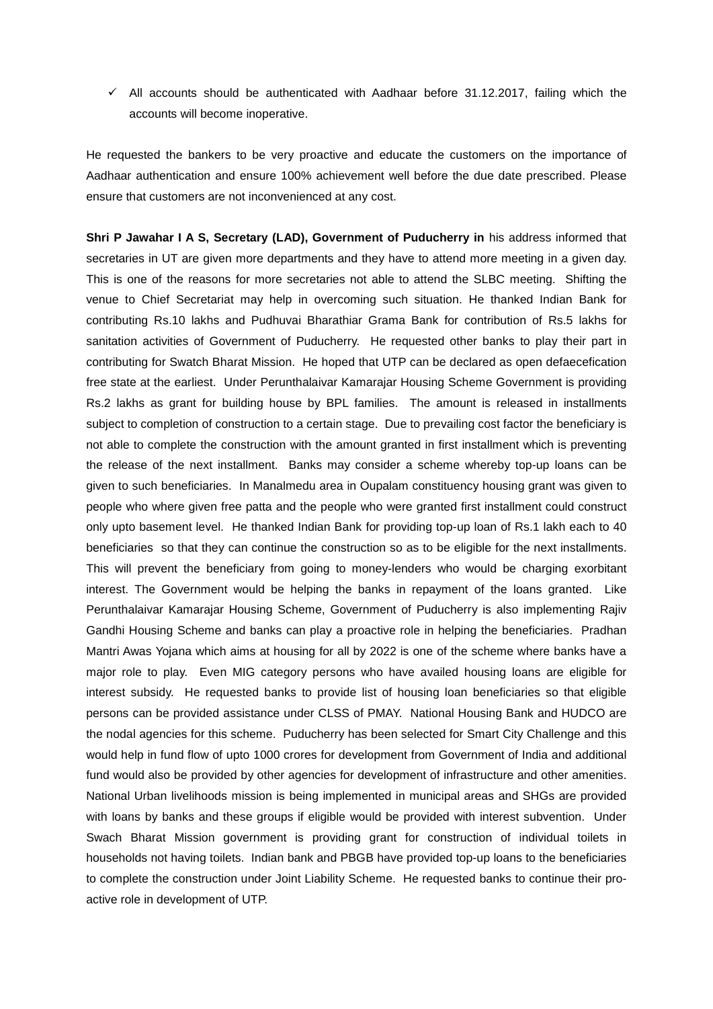$\checkmark$  All accounts should be authenticated with Aadhaar before 31.12.2017, failing which the accounts will become inoperative.

He requested the bankers to be very proactive and educate the customers on the importance of Aadhaar authentication and ensure 100% achievement well before the due date prescribed. Please ensure that customers are not inconvenienced at any cost.

**Shri P Jawahar I A S, Secretary (LAD), Government of Puducherry in** his address informed that secretaries in UT are given more departments and they have to attend more meeting in a given day. This is one of the reasons for more secretaries not able to attend the SLBC meeting. Shifting the venue to Chief Secretariat may help in overcoming such situation. He thanked Indian Bank for contributing Rs.10 lakhs and Pudhuvai Bharathiar Grama Bank for contribution of Rs.5 lakhs for sanitation activities of Government of Puducherry. He requested other banks to play their part in contributing for Swatch Bharat Mission. He hoped that UTP can be declared as open defaecefication free state at the earliest. Under Perunthalaivar Kamarajar Housing Scheme Government is providing Rs.2 lakhs as grant for building house by BPL families. The amount is released in installments subject to completion of construction to a certain stage. Due to prevailing cost factor the beneficiary is not able to complete the construction with the amount granted in first installment which is preventing the release of the next installment. Banks may consider a scheme whereby top-up loans can be given to such beneficiaries. In Manalmedu area in Oupalam constituency housing grant was given to people who where given free patta and the people who were granted first installment could construct only upto basement level. He thanked Indian Bank for providing top-up loan of Rs.1 lakh each to 40 beneficiaries so that they can continue the construction so as to be eligible for the next installments. This will prevent the beneficiary from going to money-lenders who would be charging exorbitant interest. The Government would be helping the banks in repayment of the loans granted. Like Perunthalaivar Kamarajar Housing Scheme, Government of Puducherry is also implementing Rajiv Gandhi Housing Scheme and banks can play a proactive role in helping the beneficiaries. Pradhan Mantri Awas Yojana which aims at housing for all by 2022 is one of the scheme where banks have a major role to play. Even MIG category persons who have availed housing loans are eligible for interest subsidy. He requested banks to provide list of housing loan beneficiaries so that eligible persons can be provided assistance under CLSS of PMAY. National Housing Bank and HUDCO are the nodal agencies for this scheme. Puducherry has been selected for Smart City Challenge and this would help in fund flow of upto 1000 crores for development from Government of India and additional fund would also be provided by other agencies for development of infrastructure and other amenities. National Urban livelihoods mission is being implemented in municipal areas and SHGs are provided with loans by banks and these groups if eligible would be provided with interest subvention. Under Swach Bharat Mission government is providing grant for construction of individual toilets in households not having toilets. Indian bank and PBGB have provided top-up loans to the beneficiaries to complete the construction under Joint Liability Scheme. He requested banks to continue their pro active role in development of UTP.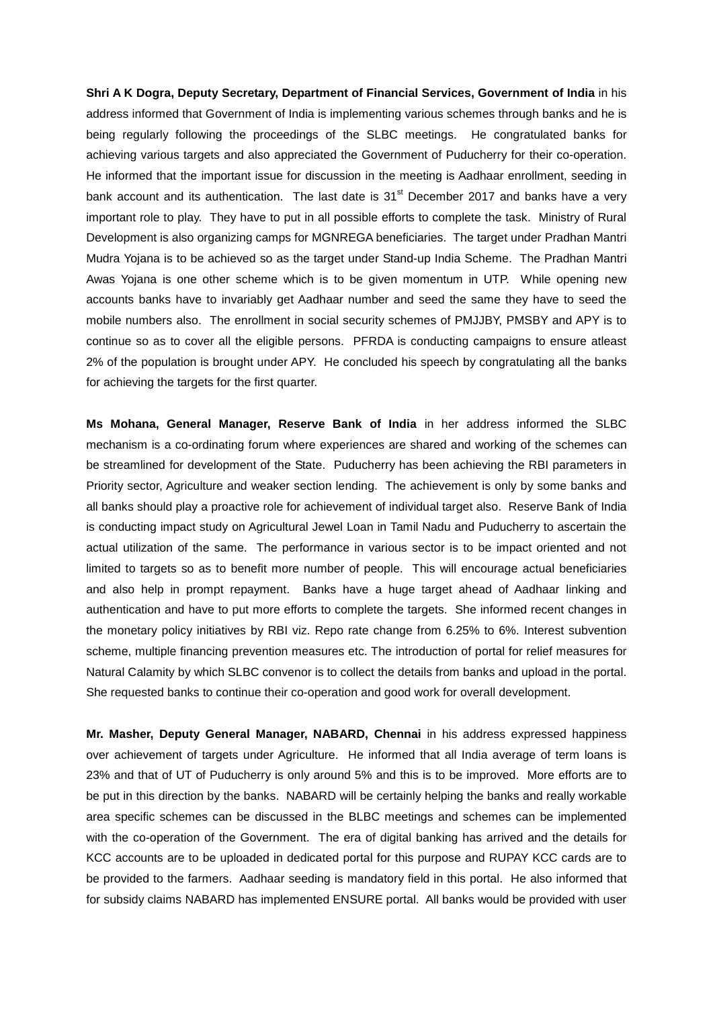**Shri A K Dogra, Deputy Secretary, Department of Financial Services, Government of India** in his address informed that Government of India is implementing various schemes through banks and he is being regularly following the proceedings of the SLBC meetings. He congratulated banks for achieving various targets and also appreciated the Government of Puducherry for their co-operation. He informed that the important issue for discussion in the meeting is Aadhaar enrollment, seeding in bank account and its authentication. The last date is  $31<sup>st</sup>$  December 2017 and banks have a very important role to play. They have to put in all possible efforts to complete the task. Ministry of Rural Development is also organizing camps for MGNREGA beneficiaries. The target under Pradhan Mantri Mudra Yojana is to be achieved so as the target under Stand-up India Scheme. The Pradhan Mantri Awas Yojana is one other scheme which is to be given momentum in UTP. While opening new accounts banks have to invariably get Aadhaar number and seed the same they have to seed the mobile numbers also. The enrollment in social security schemes of PMJJBY, PMSBY and APY is to continue so as to cover all the eligible persons. PFRDA is conducting campaigns to ensure atleast 2% of the population is brought under APY. He concluded his speech by congratulating all the banks for achieving the targets for the first quarter.

**Ms Mohana, General Manager, Reserve Bank of India** in her address informed the SLBC mechanism is a co-ordinating forum where experiences are shared and working of the schemes can be streamlined for development of the State. Puducherry has been achieving the RBI parameters in Priority sector, Agriculture and weaker section lending. The achievement is only by some banks and all banks should play a proactive role for achievement of individual target also. Reserve Bank of India is conducting impact study on Agricultural Jewel Loan in Tamil Nadu and Puducherry to ascertain the actual utilization of the same. The performance in various sector is to be impact oriented and not limited to targets so as to benefit more number of people. This will encourage actual beneficiaries and also help in prompt repayment. Banks have a huge target ahead of Aadhaar linking and authentication and have to put more efforts to complete the targets. She informed recent changes in the monetary policy initiatives by RBI viz. Repo rate change from 6.25% to 6%. Interest subvention scheme, multiple financing prevention measures etc. The introduction of portal for relief measures for Natural Calamity by which SLBC convenor is to collect the details from banks and upload in the portal. She requested banks to continue their co-operation and good work for overall development.

**Mr. Masher, Deputy General Manager, NABARD, Chennai** in his address expressed happiness over achievement of targets under Agriculture. He informed that all India average of term loans is 23% and that of UT of Puducherry is only around 5% and this is to be improved. More efforts are to be put in this direction by the banks. NABARD will be certainly helping the banks and really workable area specific schemes can be discussed in the BLBC meetings and schemes can be implemented with the co-operation of the Government. The era of digital banking has arrived and the details for KCC accounts are to be uploaded in dedicated portal for this purpose and RUPAY KCC cards are to be provided to the farmers. Aadhaar seeding is mandatory field in this portal. He also informed that for subsidy claims NABARD has implemented ENSURE portal. All banks would be provided with user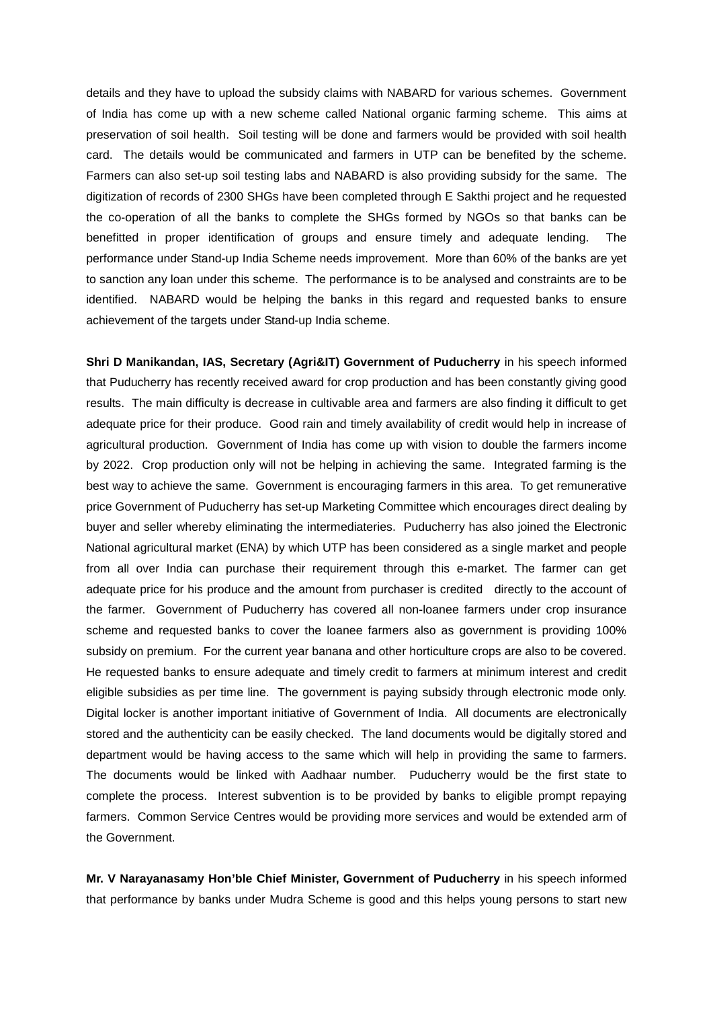details and they have to upload the subsidy claims with NABARD for various schemes. Government of India has come up with a new scheme called National organic farming scheme. This aims at preservation of soil health. Soil testing will be done and farmers would be provided with soil health card. The details would be communicated and farmers in UTP can be benefited by the scheme. Farmers can also set-up soil testing labs and NABARD is also providing subsidy for the same. The digitization of records of 2300 SHGs have been completed through E Sakthi project and he requested the co-operation of all the banks to complete the SHGs formed by NGOs so that banks can be benefitted in proper identification of groups and ensure timely and adequate lending. The performance under Stand-up India Scheme needs improvement. More than 60% of the banks are yet to sanction any loan under this scheme. The performance is to be analysed and constraints are to be identified. NABARD would be helping the banks in this regard and requested banks to ensure achievement of the targets under Stand-up India scheme.

**Shri D Manikandan, IAS, Secretary (Agri&IT) Government of Puducherry** in his speech informed that Puducherry has recently received award for crop production and has been constantly giving good results. The main difficulty is decrease in cultivable area and farmers are also finding it difficult to get adequate price for their produce. Good rain and timely availability of credit would help in increase of agricultural production. Government of India has come up with vision to double the farmers income by 2022. Crop production only will not be helping in achieving the same. Integrated farming is the best way to achieve the same. Government is encouraging farmers in this area. To get remunerative price Government of Puducherry has set-up Marketing Committee which encourages direct dealing by buyer and seller whereby eliminating the intermediateries. Puducherry has also joined the Electronic National agricultural market (ENA) by which UTP has been considered as a single market and people from all over India can purchase their requirement through this e-market. The farmer can get adequate price for his produce and the amount from purchaser is credited directly to the account of the farmer. Government of Puducherry has covered all non-loanee farmers under crop insurance scheme and requested banks to cover the loanee farmers also as government is providing 100% subsidy on premium. For the current year banana and other horticulture crops are also to be covered. He requested banks to ensure adequate and timely credit to farmers at minimum interest and credit eligible subsidies as per time line. The government is paying subsidy through electronic mode only. Digital locker is another important initiative of Government of India. All documents are electronically stored and the authenticity can be easily checked. The land documents would be digitally stored and department would be having access to the same which will help in providing the same to farmers. The documents would be linked with Aadhaar number. Puducherry would be the first state to complete the process. Interest subvention is to be provided by banks to eligible prompt repaying farmers. Common Service Centres would be providing more services and would be extended arm of the Government.

**Mr. V Narayanasamy Hon'ble Chief Minister, Government of Puducherry** in his speech informed that performance by banks under Mudra Scheme is good and this helps young persons to start new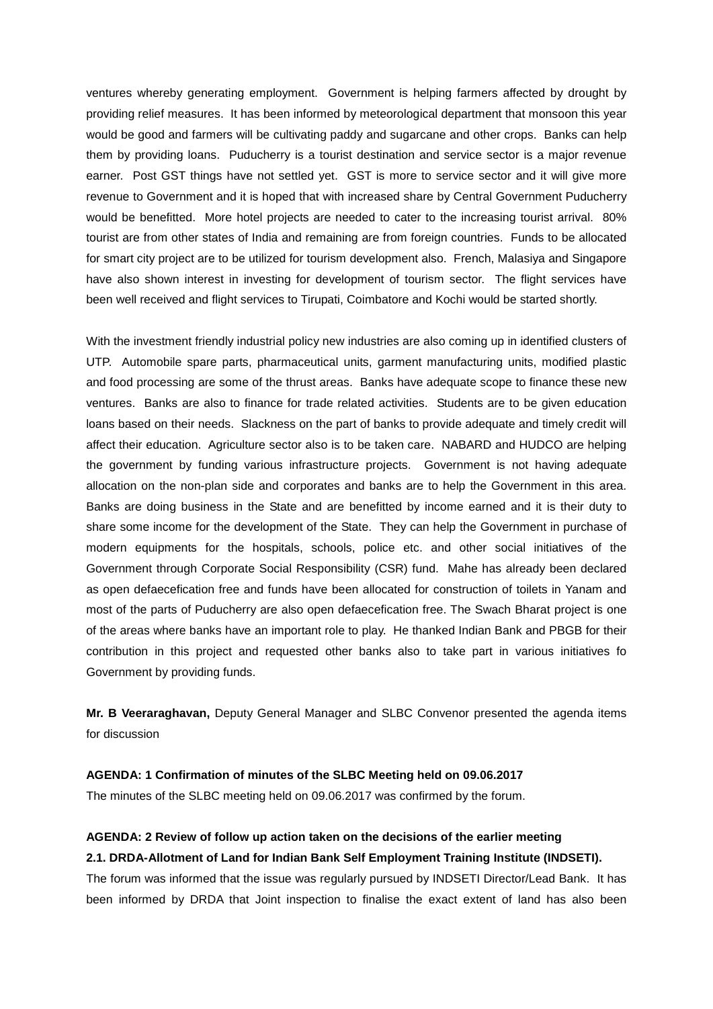ventures whereby generating employment. Government is helping farmers affected by drought by providing relief measures. It has been informed by meteorological department that monsoon this year would be good and farmers will be cultivating paddy and sugarcane and other crops. Banks can help them by providing loans. Puducherry is a tourist destination and service sector is a major revenue earner. Post GST things have not settled yet. GST is more to service sector and it will give more revenue to Government and it is hoped that with increased share by Central Government Puducherry would be benefitted. More hotel projects are needed to cater to the increasing tourist arrival. 80% tourist are from other states of India and remaining are from foreign countries. Funds to be allocated for smart city project are to be utilized for tourism development also. French, Malasiya and Singapore have also shown interest in investing for development of tourism sector. The flight services have been well received and flight services to Tirupati, Coimbatore and Kochi would be started shortly.

With the investment friendly industrial policy new industries are also coming up in identified clusters of UTP. Automobile spare parts, pharmaceutical units, garment manufacturing units, modified plastic and food processing are some of the thrust areas. Banks have adequate scope to finance these new ventures. Banks are also to finance for trade related activities. Students are to be given education loans based on their needs. Slackness on the part of banks to provide adequate and timely credit will affect their education. Agriculture sector also is to be taken care. NABARD and HUDCO are helping the government by funding various infrastructure projects. Government is not having adequate allocation on the non-plan side and corporates and banks are to help the Government in this area. Banks are doing business in the State and are benefitted by income earned and it is their duty to share some income for the development of the State. They can help the Government in purchase of modern equipments for the hospitals, schools, police etc. and other social initiatives of the Government through Corporate Social Responsibility (CSR) fund. Mahe has already been declared as open defaecefication free and funds have been allocated for construction of toilets in Yanam and most of the parts of Puducherry are also open defaecefication free. The Swach Bharat project is one of the areas where banks have an important role to play. He thanked Indian Bank and PBGB for their contribution in this project and requested other banks also to take part in various initiatives fo Government by providing funds.

**Mr. B Veeraraghavan,** Deputy General Manager and SLBC Convenor presented the agenda items for discussion

## **AGENDA: 1 Confirmation of minutes of the SLBC Meeting held on 09.06.2017**

The minutes of the SLBC meeting held on 09.06.2017 was confirmed by the forum.

## **AGENDA: 2 Review of follow up action taken on the decisions of the earlier meeting 2.1. DRDA-Allotment of Land for Indian Bank Self Employment Training Institute (INDSETI).**

The forum was informed that the issue was regularly pursued by INDSETI Director/Lead Bank. It has been informed by DRDA that Joint inspection to finalise the exact extent of land has also been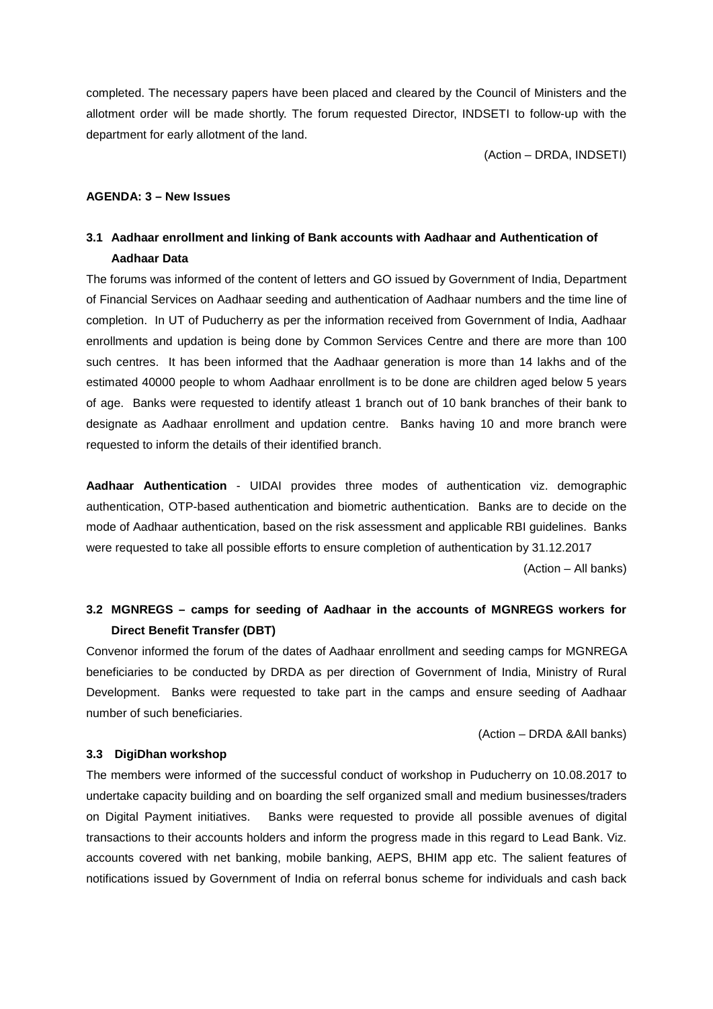completed. The necessary papers have been placed and cleared by the Council of Ministers and the allotment order will be made shortly. The forum requested Director, INDSETI to follow-up with the department for early allotment of the land.

(Action – DRDA, INDSETI)

#### **AGENDA: 3 – New Issues**

# **3.1 Aadhaar enrollment and linking of Bank accounts with Aadhaar and Authentication of Aadhaar Data**

The forums was informed of the content of letters and GO issued by Government of India, Department of Financial Services on Aadhaar seeding and authentication of Aadhaar numbers and the time line of completion. In UT of Puducherry as per the information received from Government of India, Aadhaar enrollments and updation is being done by Common Services Centre and there are more than 100 such centres. It has been informed that the Aadhaar generation is more than 14 lakhs and of the estimated 40000 people to whom Aadhaar enrollment is to be done are children aged below 5 years of age. Banks were requested to identify atleast 1 branch out of 10 bank branches of their bank to designate as Aadhaar enrollment and updation centre. Banks having 10 and more branch were requested to inform the details of their identified branch.

**Aadhaar Authentication** - UIDAI provides three modes of authentication viz. demographic authentication, OTP-based authentication and biometric authentication. Banks are to decide on the mode of Aadhaar authentication, based on the risk assessment and applicable RBI guidelines. Banks were requested to take all possible efforts to ensure completion of authentication by 31.12.2017

(Action – All banks)

## **3.2 MGNREGS – camps for seeding of Aadhaar in the accounts of MGNREGS workers for Direct Benefit Transfer (DBT)**

Convenor informed the forum of the dates of Aadhaar enrollment and seeding camps for MGNREGA beneficiaries to be conducted by DRDA as per direction of Government of India, Ministry of Rural Development. Banks were requested to take part in the camps and ensure seeding of Aadhaar number of such beneficiaries.

(Action – DRDA &All banks)

### **3.3 DigiDhan workshop**

The members were informed of the successful conduct of workshop in Puducherry on 10.08.2017 to undertake capacity building and on boarding the self organized small and medium businesses/traders on Digital Payment initiatives. Banks were requested to provide all possible avenues of digital transactions to their accounts holders and inform the progress made in this regard to Lead Bank. Viz. accounts covered with net banking, mobile banking, AEPS, BHIM app etc. The salient features of notifications issued by Government of India on referral bonus scheme for individuals and cash back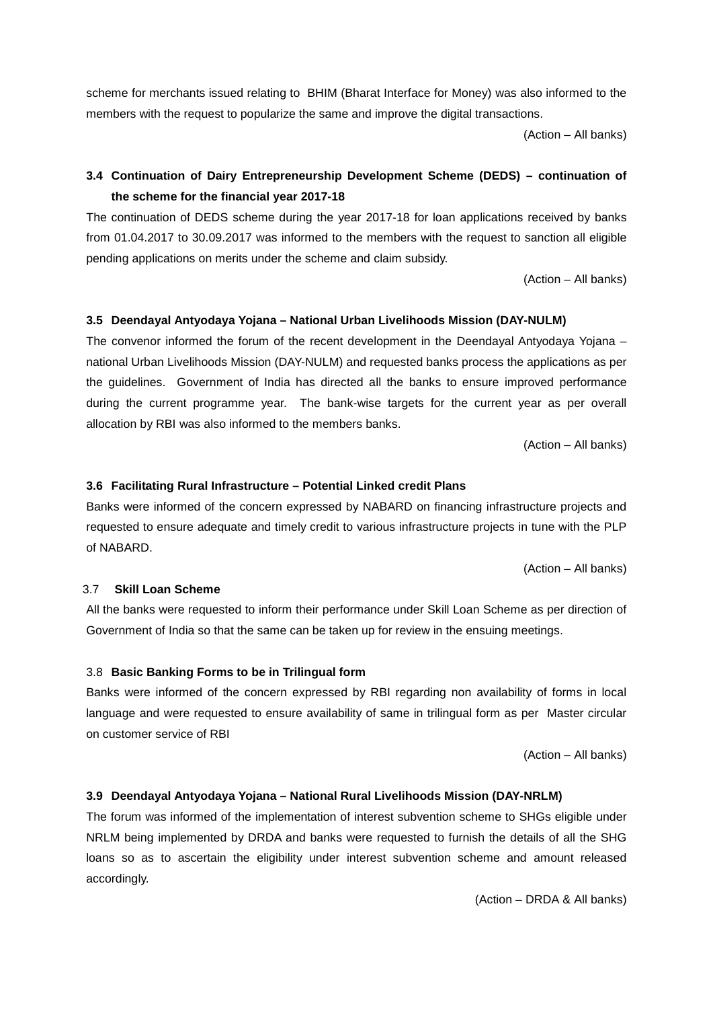scheme for merchants issued relating to BHIM (Bharat Interface for Money) was also informed to the members with the request to popularize the same and improve the digital transactions.

(Action – All banks)

# **3.4 Continuation of Dairy Entrepreneurship Development Scheme (DEDS) – continuation of the scheme for the financial year 2017-18**

The continuation of DEDS scheme during the year 2017-18 for loan applications received by banks from 01.04.2017 to 30.09.2017 was informed to the members with the request to sanction all eligible pending applications on merits under the scheme and claim subsidy.

(Action – All banks)

## **3.5 Deendayal Antyodaya Yojana – National Urban Livelihoods Mission (DAY-NULM)**

The convenor informed the forum of the recent development in the Deendayal Antyodaya Yojana – national Urban Livelihoods Mission (DAY-NULM) and requested banks process the applications as per the guidelines. Government of India has directed all the banks to ensure improved performance during the current programme year. The bank-wise targets for the current year as per overall allocation by RBI was also informed to the members banks.

(Action – All banks)

### **3.6 Facilitating Rural Infrastructure – Potential Linked credit Plans**

Banks were informed of the concern expressed by NABARD on financing infrastructure projects and requested to ensure adequate and timely credit to various infrastructure projects in tune with the PLP of NABARD.

(Action – All banks)

#### 3.7 **Skill Loan Scheme**

All the banks were requested to inform their performance under Skill Loan Scheme as per direction of Government of India so that the same can be taken up for review in the ensuing meetings.

#### 3.8 **Basic Banking Forms to be in Trilingual form**

Banks were informed of the concern expressed by RBI regarding non availability of forms in local language and were requested to ensure availability of same in trilingual form as per Master circular on customer service of RBI

(Action – All banks)

## **3.9 Deendayal Antyodaya Yojana – National Rural Livelihoods Mission (DAY-NRLM)**

The forum was informed of the implementation of interest subvention scheme to SHGs eligible under NRLM being implemented by DRDA and banks were requested to furnish the details of all the SHG loans so as to ascertain the eligibility under interest subvention scheme and amount released accordingly.

(Action – DRDA & All banks)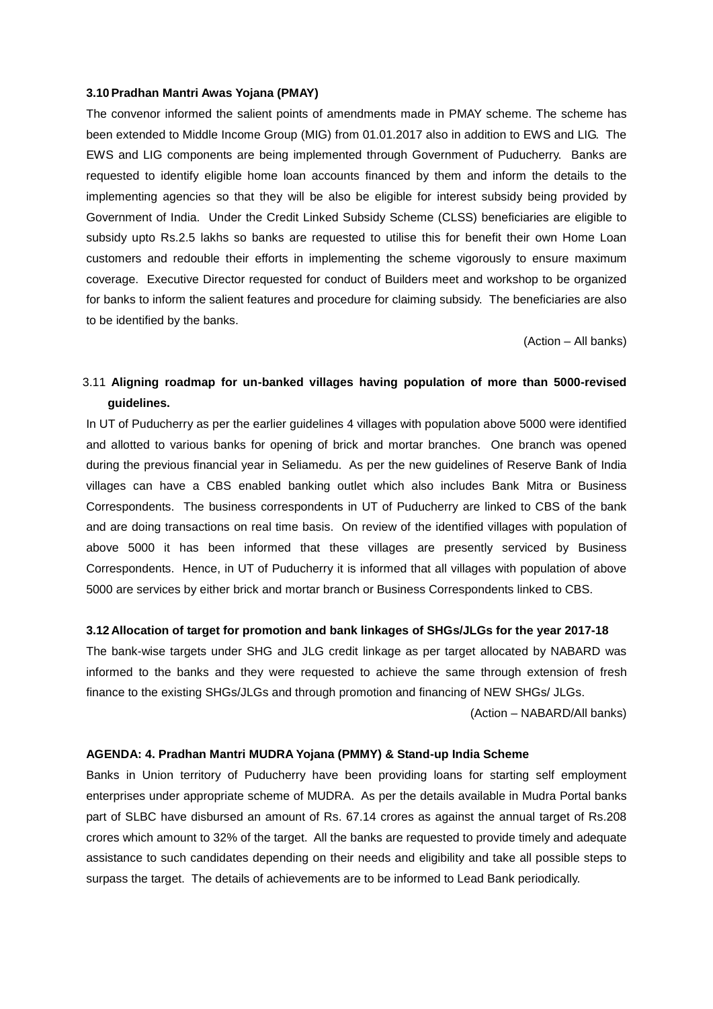#### **3.10Pradhan Mantri Awas Yojana (PMAY)**

The convenor informed the salient points of amendments made in PMAY scheme. The scheme has been extended to Middle Income Group (MIG) from 01.01.2017 also in addition to EWS and LIG. The EWS and LIG components are being implemented through Government of Puducherry. Banks are requested to identify eligible home loan accounts financed by them and inform the details to the implementing agencies so that they will be also be eligible for interest subsidy being provided by Government of India. Under the Credit Linked Subsidy Scheme (CLSS) beneficiaries are eligible to subsidy upto Rs.2.5 lakhs so banks are requested to utilise this for benefit their own Home Loan customers and redouble their efforts in implementing the scheme vigorously to ensure maximum coverage. Executive Director requested for conduct of Builders meet and workshop to be organized for banks to inform the salient features and procedure for claiming subsidy. The beneficiaries are also to be identified by the banks.

(Action – All banks)

# 3.11 **Aligning roadmap for un-banked villages having population of more than 5000-revised guidelines.**

In UT of Puducherry as per the earlier guidelines 4 villages with population above 5000 were identified and allotted to various banks for opening of brick and mortar branches. One branch was opened during the previous financial year in Seliamedu. As per the new guidelines of Reserve Bank of India villages can have a CBS enabled banking outlet which also includes Bank Mitra or Business Correspondents. The business correspondents in UT of Puducherry are linked to CBS of the bank and are doing transactions on real time basis. On review of the identified villages with population of above 5000 it has been informed that these villages are presently serviced by Business Correspondents. Hence, in UT of Puducherry it is informed that all villages with population of above 5000 are services by either brick and mortar branch or Business Correspondents linked to CBS.

#### **3.12 Allocation of target for promotion and bank linkages of SHGs/JLGs for the year 2017-18**

The bank-wise targets under SHG and JLG credit linkage as per target allocated by NABARD was informed to the banks and they were requested to achieve the same through extension of fresh finance to the existing SHGs/JLGs and through promotion and financing of NEW SHGs/ JLGs.

(Action – NABARD/All banks)

## **AGENDA: 4. Pradhan Mantri MUDRA Yojana (PMMY) & Stand-up India Scheme**

Banks in Union territory of Puducherry have been providing loans for starting self employment enterprises under appropriate scheme of MUDRA. As per the details available in Mudra Portal banks part of SLBC have disbursed an amount of Rs. 67.14 crores as against the annual target of Rs.208 crores which amount to 32% of the target. All the banks are requested to provide timely and adequate assistance to such candidates depending on their needs and eligibility and take all possible steps to surpass the target. The details of achievements are to be informed to Lead Bank periodically.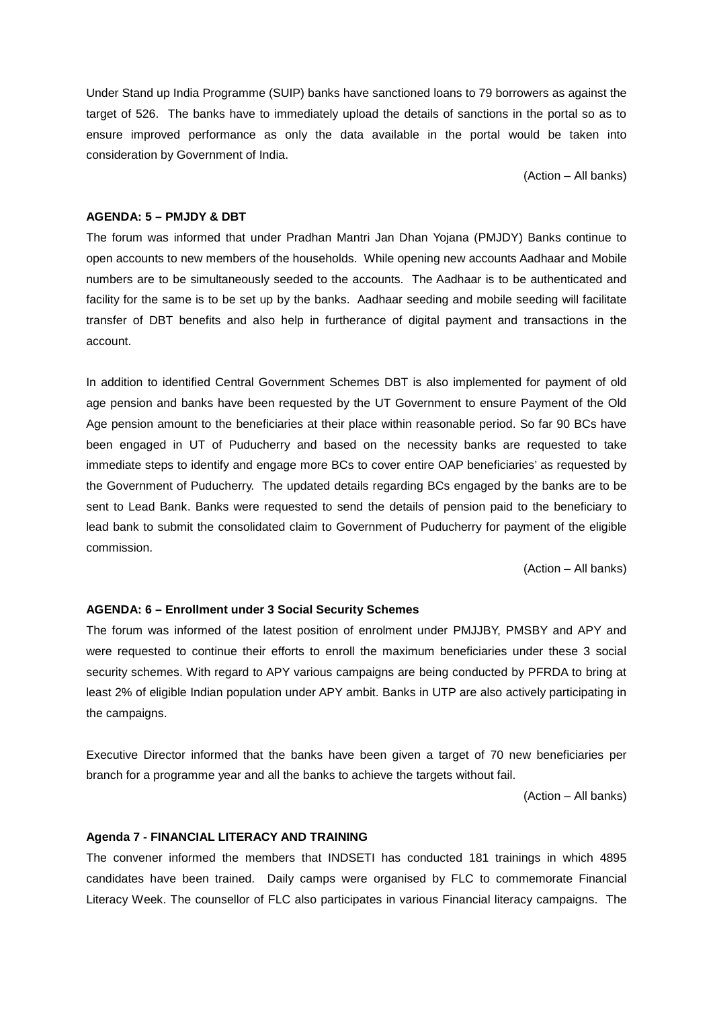Under Stand up India Programme (SUIP) banks have sanctioned loans to 79 borrowers as against the target of 526. The banks have to immediately upload the details of sanctions in the portal so as to ensure improved performance as only the data available in the portal would be taken into consideration by Government of India.

(Action – All banks)

## **AGENDA: 5 – PMJDY & DBT**

The forum was informed that under Pradhan Mantri Jan Dhan Yojana (PMJDY) Banks continue to open accounts to new members of the households. While opening new accounts Aadhaar and Mobile numbers are to be simultaneously seeded to the accounts. The Aadhaar is to be authenticated and facility for the same is to be set up by the banks. Aadhaar seeding and mobile seeding will facilitate transfer of DBT benefits and also help in furtherance of digital payment and transactions in the account.

In addition to identified Central Government Schemes DBT is also implemented for payment of old age pension and banks have been requested by the UT Government to ensure Payment of the Old Age pension amount to the beneficiaries at their place within reasonable period. So far 90 BCs have been engaged in UT of Puducherry and based on the necessity banks are requested to take immediate steps to identify and engage more BCs to cover entire OAP beneficiaries' as requested by the Government of Puducherry. The updated details regarding BCs engaged by the banks are to be sent to Lead Bank. Banks were requested to send the details of pension paid to the beneficiary to lead bank to submit the consolidated claim to Government of Puducherry for payment of the eligible commission.

(Action – All banks)

### **AGENDA: 6 – Enrollment under 3 Social Security Schemes**

The forum was informed of the latest position of enrolment under PMJJBY, PMSBY and APY and were requested to continue their efforts to enroll the maximum beneficiaries under these 3 social security schemes. With regard to APY various campaigns are being conducted by PFRDA to bring at least 2% of eligible Indian population under APY ambit. Banks in UTP are also actively participating in the campaigns.

Executive Director informed that the banks have been given a target of 70 new beneficiaries per branch for a programme year and all the banks to achieve the targets without fail.

(Action – All banks)

#### **Agenda 7 - FINANCIAL LITERACY AND TRAINING**

The convener informed the members that INDSETI has conducted 181 trainings in which 4895 candidates have been trained. Daily camps were organised by FLC to commemorate Financial Literacy Week. The counsellor of FLC also participates in various Financial literacy campaigns. The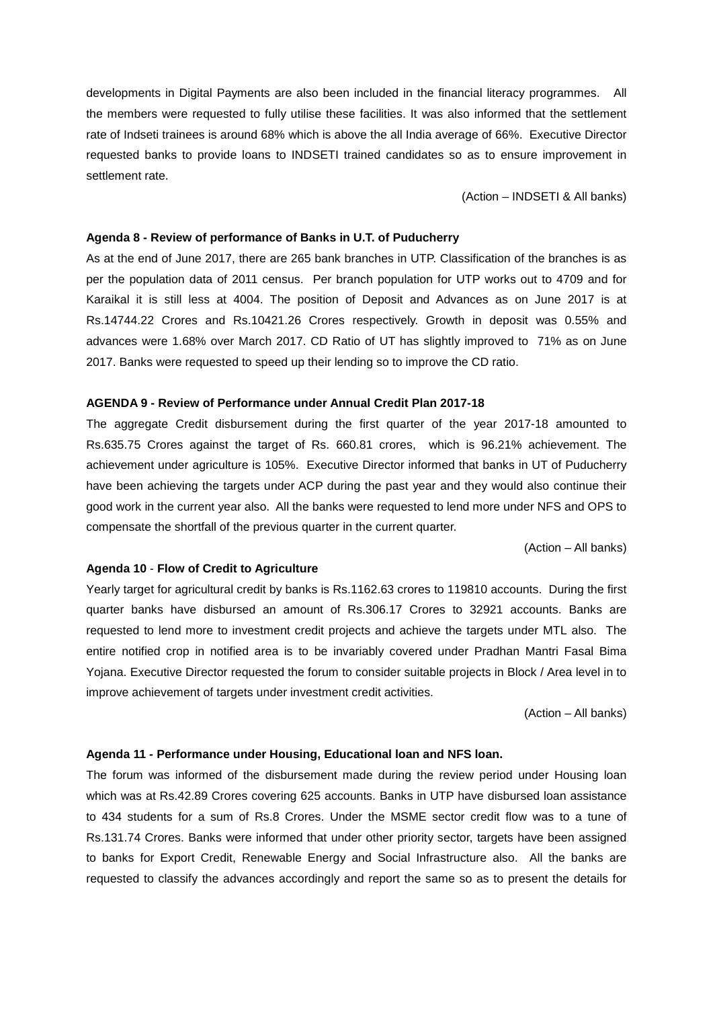developments in Digital Payments are also been included in the financial literacy programmes. All the members were requested to fully utilise these facilities. It was also informed that the settlement rate of Indseti trainees is around 68% which is above the all India average of 66%. Executive Director requested banks to provide loans to INDSETI trained candidates so as to ensure improvement in settlement rate.

(Action – INDSETI & All banks)

#### **Agenda 8 - Review of performance of Banks in U.T. of Puducherry**

As at the end of June 2017, there are 265 bank branches in UTP. Classification of the branches is as per the population data of 2011 census. Per branch population for UTP works out to 4709 and for Karaikal it is still less at 4004. The position of Deposit and Advances as on June 2017 is at Rs.14744.22 Crores and Rs.10421.26 Crores respectively. Growth in deposit was 0.55% and advances were 1.68% over March 2017. CD Ratio of UT has slightly improved to 71% as on June 2017. Banks were requested to speed up their lending so to improve the CD ratio.

#### **AGENDA 9 - Review of Performance under Annual Credit Plan 2017-18**

The aggregate Credit disbursement during the first quarter of the year 2017-18 amounted to Rs.635.75 Crores against the target of Rs. 660.81 crores, which is 96.21% achievement. The achievement under agriculture is 105%. Executive Director informed that banks in UT of Puducherry have been achieving the targets under ACP during the past year and they would also continue their good work in the current year also. All the banks were requested to lend more under NFS and OPS to compensate the shortfall of the previous quarter in the current quarter.

(Action – All banks)

#### **Agenda 10** - **Flow of Credit to Agriculture**

Yearly target for agricultural credit by banks is Rs.1162.63 crores to 119810 accounts. During the first quarter banks have disbursed an amount of Rs.306.17 Crores to 32921 accounts. Banks are requested to lend more to investment credit projects and achieve the targets under MTL also. The entire notified crop in notified area is to be invariably covered under Pradhan Mantri Fasal Bima Yojana. Executive Director requested the forum to consider suitable projects in Block / Area level in to improve achievement of targets under investment credit activities.

(Action – All banks)

### **Agenda 11 - Performance under Housing, Educational loan and NFS loan.**

The forum was informed of the disbursement made during the review period under Housing loan which was at Rs.42.89 Crores covering 625 accounts. Banks in UTP have disbursed loan assistance to 434 students for a sum of Rs.8 Crores. Under the MSME sector credit flow was to a tune of Rs.131.74 Crores. Banks were informed that under other priority sector, targets have been assigned to banks for Export Credit, Renewable Energy and Social Infrastructure also. All the banks are requested to classify the advances accordingly and report the same so as to present the details for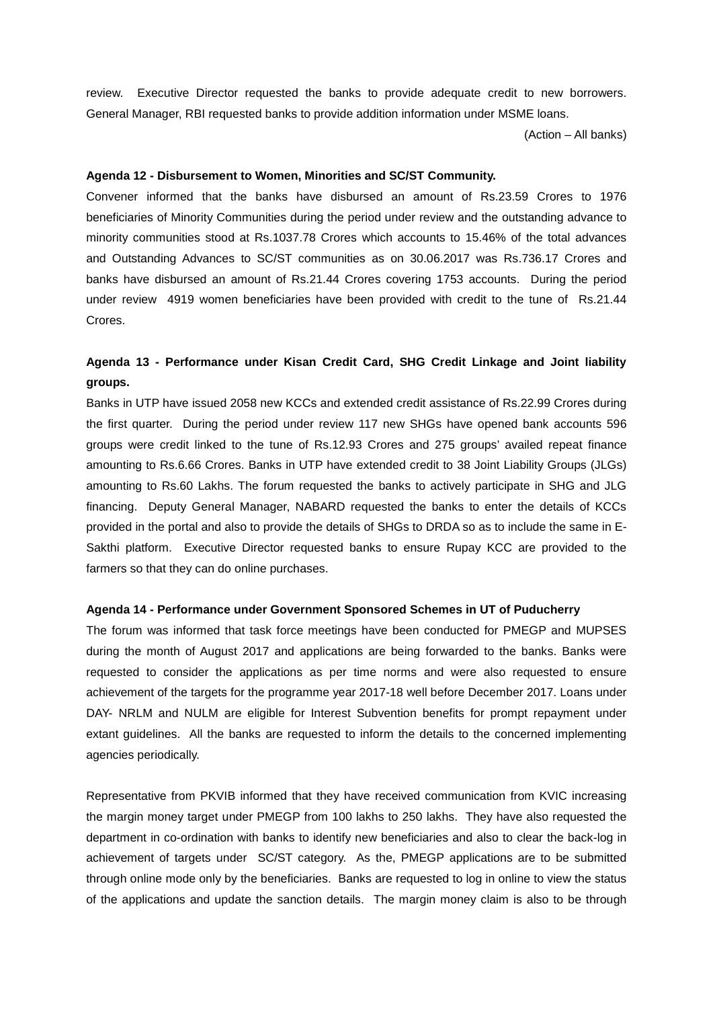review. Executive Director requested the banks to provide adequate credit to new borrowers. General Manager, RBI requested banks to provide addition information under MSME loans.

(Action – All banks)

### **Agenda 12 - Disbursement to Women, Minorities and SC/ST Community.**

Convener informed that the banks have disbursed an amount of Rs.23.59 Crores to 1976 beneficiaries of Minority Communities during the period under review and the outstanding advance to minority communities stood at Rs.1037.78 Crores which accounts to 15.46% of the total advances and Outstanding Advances to SC/ST communities as on 30.06.2017 was Rs.736.17 Crores and banks have disbursed an amount of Rs.21.44 Crores covering 1753 accounts. During the period under review 4919 women beneficiaries have been provided with credit to the tune of Rs.21.44 Crores.

# **Agenda 13 - Performance under Kisan Credit Card, SHG Credit Linkage and Joint liability groups.**

Banks in UTP have issued 2058 new KCCs and extended credit assistance of Rs.22.99 Crores during the first quarter. During the period under review 117 new SHGs have opened bank accounts 596 groups were credit linked to the tune of Rs.12.93 Crores and 275 groups' availed repeat finance amounting to Rs.6.66 Crores. Banks in UTP have extended credit to 38 Joint Liability Groups (JLGs) amounting to Rs.60 Lakhs. The forum requested the banks to actively participate in SHG and JLG financing. Deputy General Manager, NABARD requested the banks to enter the details of KCCs provided in the portal and also to provide the details of SHGs to DRDA so as to include the same in E- Sakthi platform. Executive Director requested banks to ensure Rupay KCC are provided to the farmers so that they can do online purchases.

#### **Agenda 14 - Performance under Government Sponsored Schemes in UT of Puducherry**

The forum was informed that task force meetings have been conducted for PMEGP and MUPSES during the month of August 2017 and applications are being forwarded to the banks. Banks were requested to consider the applications as per time norms and were also requested to ensure achievement of the targets for the programme year 2017-18 well before December 2017. Loans under DAY- NRLM and NULM are eligible for Interest Subvention benefits for prompt repayment under extant guidelines. All the banks are requested to inform the details to the concerned implementing agencies periodically.

Representative from PKVIB informed that they have received communication from KVIC increasing the margin money target under PMEGP from 100 lakhs to 250 lakhs. They have also requested the department in co-ordination with banks to identify new beneficiaries and also to clear the back-log in achievement of targets under SC/ST category. As the, PMEGP applications are to be submitted through online mode only by the beneficiaries. Banks are requested to log in online to view the status of the applications and update the sanction details. The margin money claim is also to be through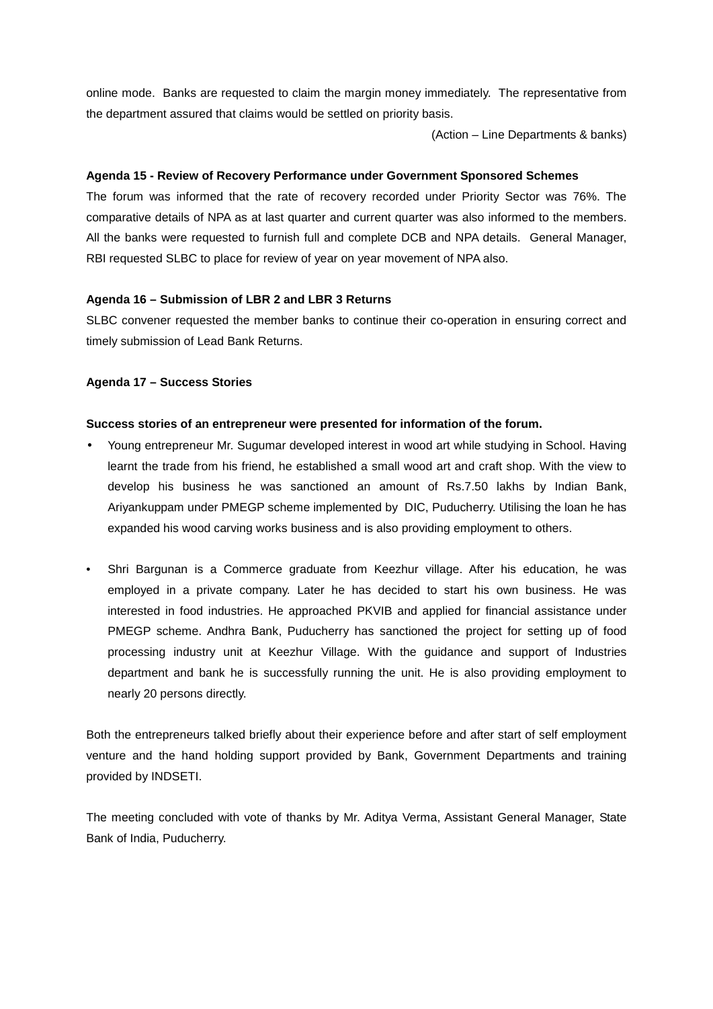online mode. Banks are requested to claim the margin money immediately. The representative from the department assured that claims would be settled on priority basis.

(Action – Line Departments & banks)

## **Agenda 15 - Review of Recovery Performance under Government Sponsored Schemes**

The forum was informed that the rate of recovery recorded under Priority Sector was 76%. The comparative details of NPA as at last quarter and current quarter was also informed to the members. All the banks were requested to furnish full and complete DCB and NPA details. General Manager, RBI requested SLBC to place for review of year on year movement of NPA also.

## **Agenda 16 – Submission of LBR 2 and LBR 3 Returns**

SLBC convener requested the member banks to continue their co-operation in ensuring correct and timely submission of Lead Bank Returns.

## **Agenda 17 – Success Stories**

### **Success stories of an entrepreneur were presented for information of the forum.**

- Young entrepreneur Mr. Sugumar developed interest in wood art while studying in School. Having learnt the trade from his friend, he established a small wood art and craft shop. With the view to develop his business he was sanctioned an amount of Rs.7.50 lakhs by Indian Bank, Ariyankuppam under PMEGP scheme implemented by DIC, Puducherry. Utilising the loan he has expanded his wood carving works business and is also providing employment to others.
- Shri Bargunan is a Commerce graduate from Keezhur village. After his education, he was employed in a private company. Later he has decided to start his own business. He was interested in food industries. He approached PKVIB and applied for financial assistance under PMEGP scheme. Andhra Bank, Puducherry has sanctioned the project for setting up of food processing industry unit at Keezhur Village. With the guidance and support of Industries department and bank he is successfully running the unit. He is also providing employment to nearly 20 persons directly.

Both the entrepreneurs talked briefly about their experience before and after start of self employment venture and the hand holding support provided by Bank, Government Departments and training provided by INDSETI.

The meeting concluded with vote of thanks by Mr. Aditya Verma, Assistant General Manager, State Bank of India, Puducherry.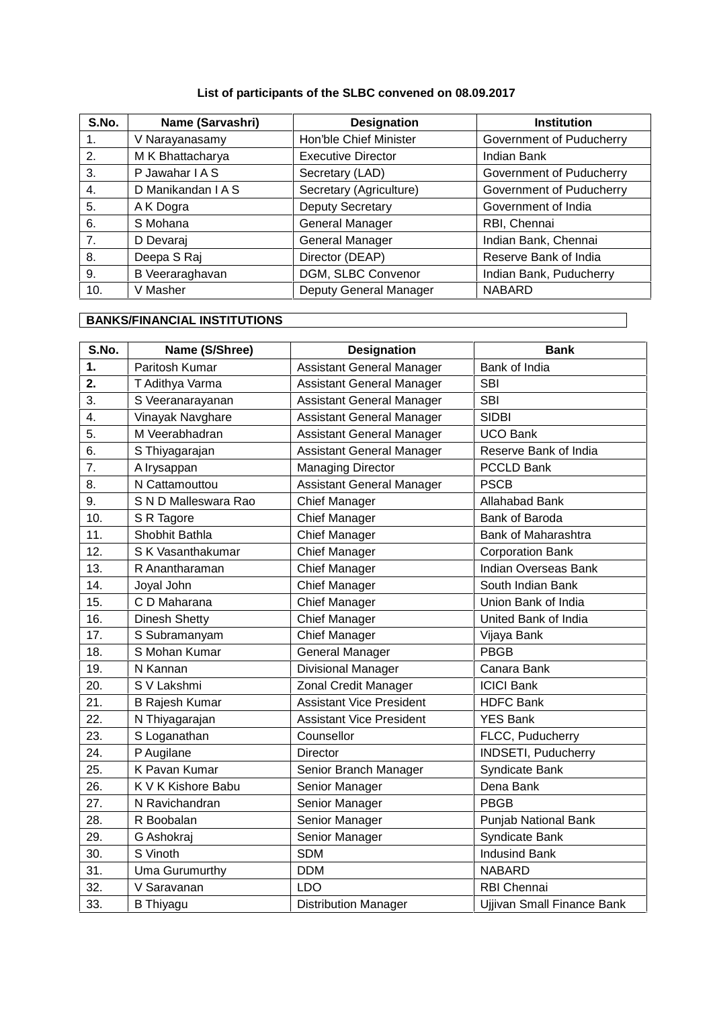# **List of participants of the SLBC convened on 08.09.2017**

| S.No.          | Name (Sarvashri)   | <b>Designation</b>        | <b>Institution</b>       |
|----------------|--------------------|---------------------------|--------------------------|
| 1.             | V Narayanasamy     | Hon'ble Chief Minister    | Government of Puducherry |
| 2.             | M K Bhattacharya   | <b>Executive Director</b> | Indian Bank              |
| 3.             | P Jawahar I A S    | Secretary (LAD)           | Government of Puducherry |
| 4.             | D Manikandan I A S | Secretary (Agriculture)   | Government of Puducherry |
| 5.             | A K Dogra          | <b>Deputy Secretary</b>   | Government of India      |
| 6.             | S Mohana           | <b>General Manager</b>    | RBI, Chennai             |
| 7 <sub>1</sub> | D Devaraj          | General Manager           | Indian Bank, Chennai     |
| 8.             | Deepa S Raj        | Director (DEAP)           | Reserve Bank of India    |
| 9.             | B Veeraraghavan    | DGM, SLBC Convenor        | Indian Bank, Puducherry  |
| 10.            | V Masher           | Deputy General Manager    | <b>NABARD</b>            |

# **BANKS/FINANCIAL INSTITUTIONS**

| S.No. | Name (S/Shree)        | <b>Designation</b>               | <b>Bank</b>                 |  |
|-------|-----------------------|----------------------------------|-----------------------------|--|
| 1.    | Paritosh Kumar        | <b>Assistant General Manager</b> | Bank of India               |  |
| 2.    | T Adithya Varma       | <b>Assistant General Manager</b> | <b>SBI</b>                  |  |
| 3.    | S Veeranarayanan      | <b>Assistant General Manager</b> | <b>SBI</b>                  |  |
| 4.    | Vinayak Navghare      | <b>Assistant General Manager</b> | <b>SIDBI</b>                |  |
| 5.    | M Veerabhadran        | <b>Assistant General Manager</b> | <b>UCO Bank</b>             |  |
| 6.    | S Thiyagarajan        | <b>Assistant General Manager</b> | Reserve Bank of India       |  |
| 7.    | A Irysappan           | <b>Managing Director</b>         | <b>PCCLD Bank</b>           |  |
| 8.    | N Cattamouttou        | <b>Assistant General Manager</b> | <b>PSCB</b>                 |  |
| 9.    | S N D Malleswara Rao  | Chief Manager                    | Allahabad Bank              |  |
| 10.   | S R Tagore            | <b>Chief Manager</b>             | Bank of Baroda              |  |
| 11.   | Shobhit Bathla        | <b>Chief Manager</b>             | Bank of Maharashtra         |  |
| 12.   | S K Vasanthakumar     | <b>Chief Manager</b>             | <b>Corporation Bank</b>     |  |
| 13.   | R Anantharaman        | <b>Chief Manager</b>             | <b>Indian Overseas Bank</b> |  |
| 14.   | Joyal John            | <b>Chief Manager</b>             | South Indian Bank           |  |
| 15.   | C D Maharana          | <b>Chief Manager</b>             | Union Bank of India         |  |
| 16.   | <b>Dinesh Shetty</b>  | <b>Chief Manager</b>             | United Bank of India        |  |
| 17.   | S Subramanyam         | <b>Chief Manager</b>             | Vijaya Bank                 |  |
| 18.   | S Mohan Kumar         | <b>General Manager</b>           | <b>PBGB</b>                 |  |
| 19.   | N Kannan              | Divisional Manager               | Canara Bank                 |  |
| 20.   | S V Lakshmi           | Zonal Credit Manager             | <b>ICICI Bank</b>           |  |
| 21.   | <b>B Rajesh Kumar</b> | <b>Assistant Vice President</b>  | <b>HDFC Bank</b>            |  |
| 22.   | N Thiyagarajan        | <b>Assistant Vice President</b>  | <b>YES Bank</b>             |  |
| 23.   | S Loganathan          | Counsellor                       | FLCC, Puducherry            |  |
| 24.   | P Augilane            | Director                         | <b>INDSETI, Puducherry</b>  |  |
| 25.   | K Pavan Kumar         | Senior Branch Manager            | Syndicate Bank              |  |
| 26.   | K V K Kishore Babu    | Senior Manager                   | Dena Bank                   |  |
| 27.   | N Ravichandran        | Senior Manager                   | <b>PBGB</b>                 |  |
| 28.   | R Boobalan            | Senior Manager                   | <b>Punjab National Bank</b> |  |
| 29.   | G Ashokraj            | Senior Manager                   | Syndicate Bank              |  |
| 30.   | S Vinoth              | <b>SDM</b>                       | <b>Indusind Bank</b>        |  |
| 31.   | Uma Gurumurthy        | <b>DDM</b>                       | <b>NABARD</b>               |  |
| 32.   | V Saravanan           | <b>LDO</b>                       | RBI Chennai                 |  |
| 33.   | <b>B</b> Thiyagu      | <b>Distribution Manager</b>      | Ujjivan Small Finance Bank  |  |